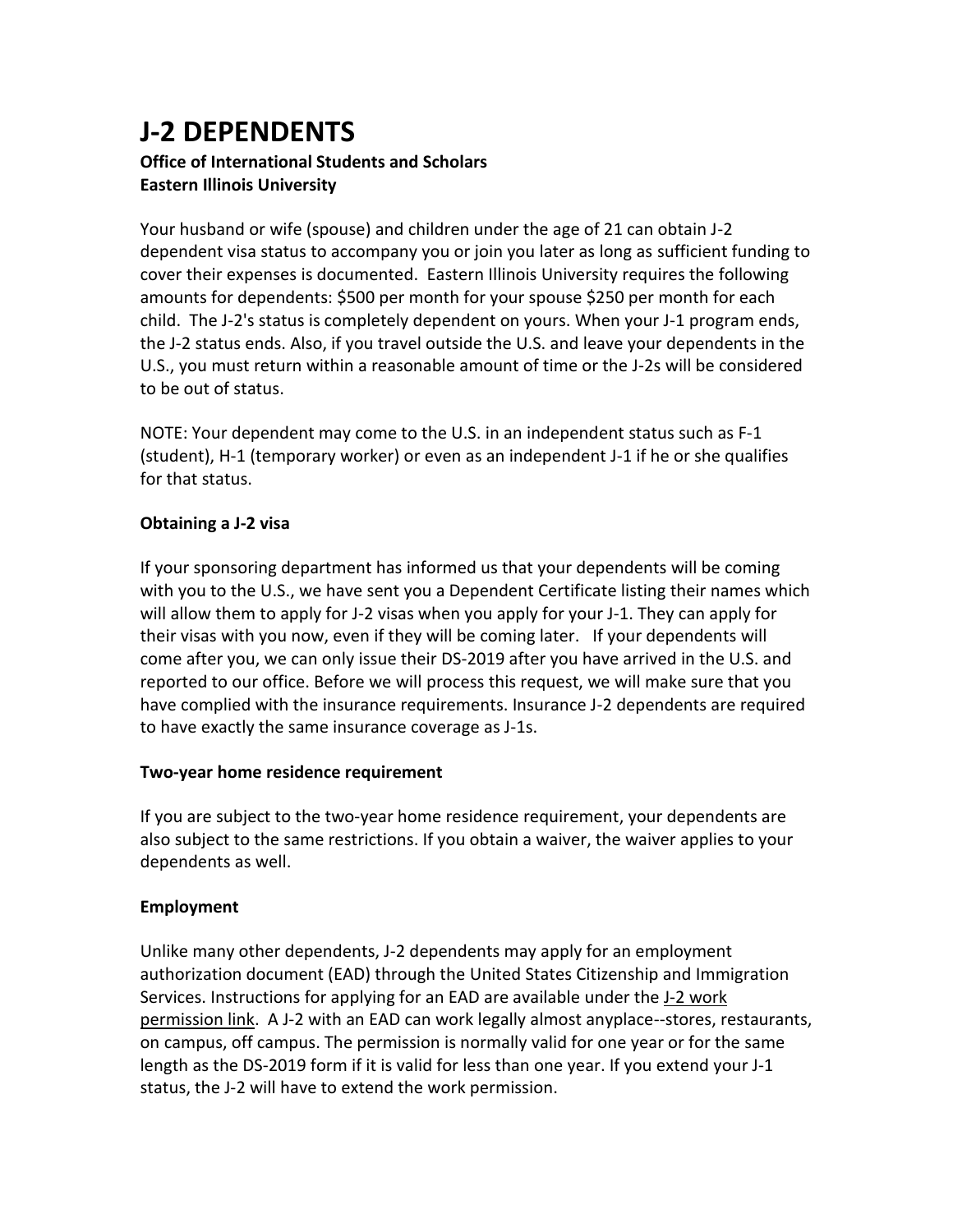# **J-2 DEPENDENTS**

# **Office of International Students and Scholars Eastern Illinois University**

Your husband or wife (spouse) and children under the age of 21 can obtain J-2 dependent visa status to accompany you or join you later as long as sufficient funding to cover their expenses is documented. Eastern Illinois University requires the following amounts for dependents: \$500 per month for your spouse \$250 per month for each child. The J-2's status is completely dependent on yours. When your J-1 program ends, the J-2 status ends. Also, if you travel outside the U.S. and leave your dependents in the U.S., you must return within a reasonable amount of time or the J-2s will be considered to be out of status.

NOTE: Your dependent may come to the U.S. in an independent status such as F-1 (student), H-1 (temporary worker) or even as an independent J-1 if he or she qualifies for that status.

# **Obtaining a J-2 visa**

If your sponsoring department has informed us that your dependents will be coming with you to the U.S., we have sent you a Dependent Certificate listing their names which will allow them to apply for J-2 visas when you apply for your J-1. They can apply for their visas with you now, even if they will be coming later. If your dependents will come after you, we can only issue their DS-2019 after you have arrived in the U.S. and reported to our office. Before we will process this request, we will make sure that you have complied with the insurance requirements. Insurance J-2 dependents are required to have exactly the same insurance coverage as J-1s.

#### **Two-year home residence requirement**

If you are subject to the two-year home residence requirement, your dependents are also subject to the same restrictions. If you obtain a waiver, the waiver applies to your dependents as well.

# **Employment**

Unlike many other dependents, J-2 dependents may apply for an employment authorization document (EAD) through the United States Citizenship and Immigration Services. Instructions for applying for an EAD are available under the J-2 work permission link. A J-2 with an EAD can work legally almost anyplace--stores, restaurants, on campus, off campus. The permission is normally valid for one year or for the same length as the DS-2019 form if it is valid for less than one year. If you extend your J-1 status, the J-2 will have to extend the work permission.